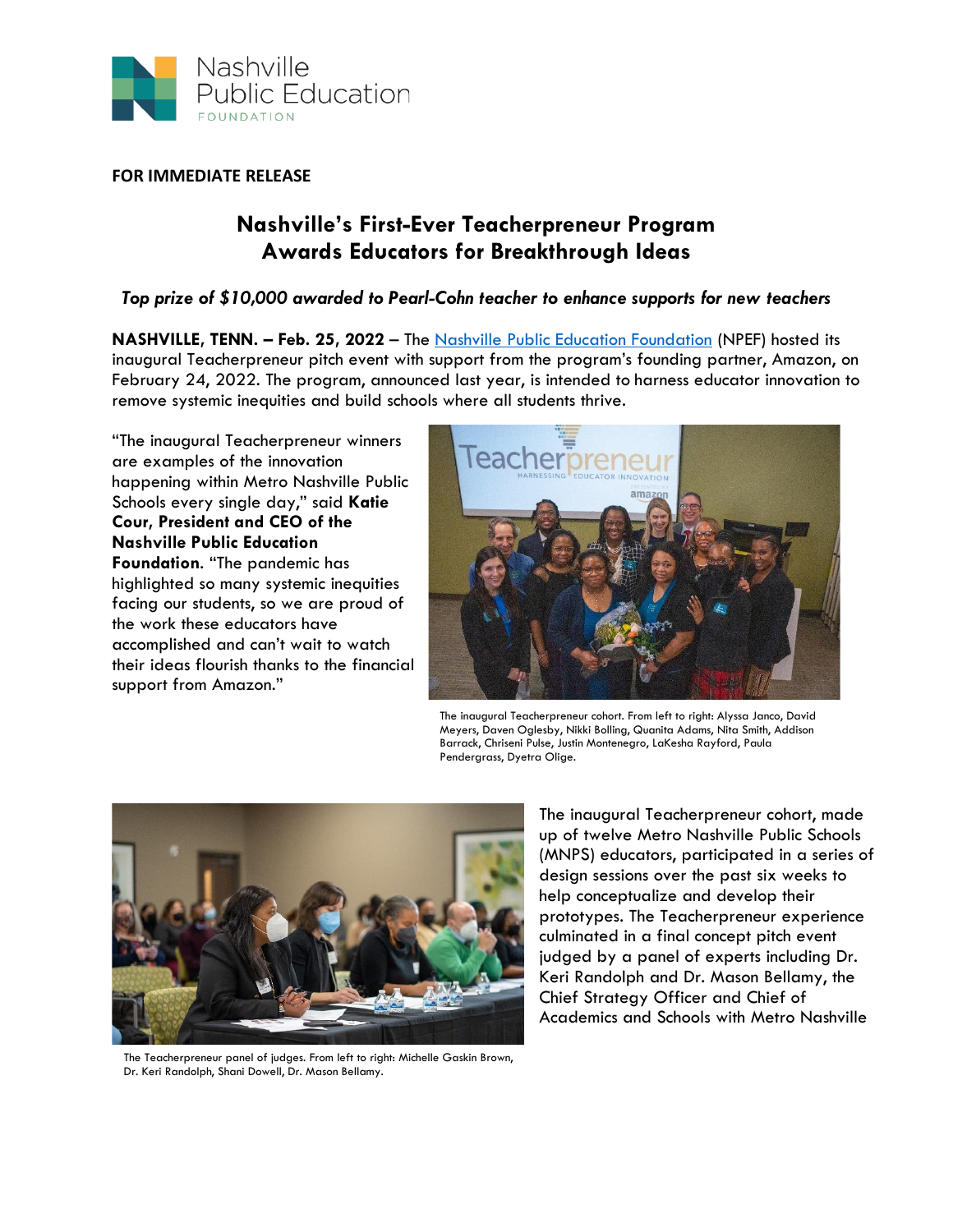

**FOR IMMEDIATE RELEASE**

## **Nashville's First-Ever Teacherpreneur Program Awards Educators for Breakthrough Ideas**

## *Top prize of \$10,000 awarded to Pearl-Cohn teacher to enhance supports for new teachers*

**NASHVILLE, TENN. – Feb. 25, 2022** – The [Nashville Public Education Foundation](https://nashvillepef.org/) (NPEF) hosted its inaugural Teacherpreneur pitch event with support from the program's founding partner, Amazon, on February 24, 2022. The program, announced last year, is intended to harness educator innovation to remove systemic inequities and build schools where all students thrive.

"The inaugural Teacherpreneur winners are examples of the innovation happening within Metro Nashville Public Schools every single day," said **Katie Cour, President and CEO of the Nashville Public Education Foundation**. "The pandemic has highlighted so many systemic inequities facing our students, so we are proud of the work these educators have accomplished and can't wait to watch their ideas flourish thanks to the financial support from Amazon."



The inaugural Teacherpreneur cohort. From left to right: Alyssa Janco, David Meyers, Daven Oglesby, Nikki Bolling, Quanita Adams, Nita Smith, Addison Barrack, Chriseni Pulse, Justin Montenegro, LaKesha Rayford, Paula Pendergrass, Dyetra Olige.



The Teacherpreneur panel of judges. From left to right: Michelle Gaskin Brown, Dr. Keri Randolph, Shani Dowell, Dr. Mason Bellamy.

The inaugural Teacherpreneur cohort, made up of twelve Metro Nashville Public Schools (MNPS) educators, participated in a series of design sessions over the past six weeks to help conceptualize and develop their prototypes. The Teacherpreneur experience culminated in a final concept pitch event judged by a panel of experts including Dr. Keri Randolph and Dr. Mason Bellamy, the Chief Strategy Officer and Chief of Academics and Schools with Metro Nashville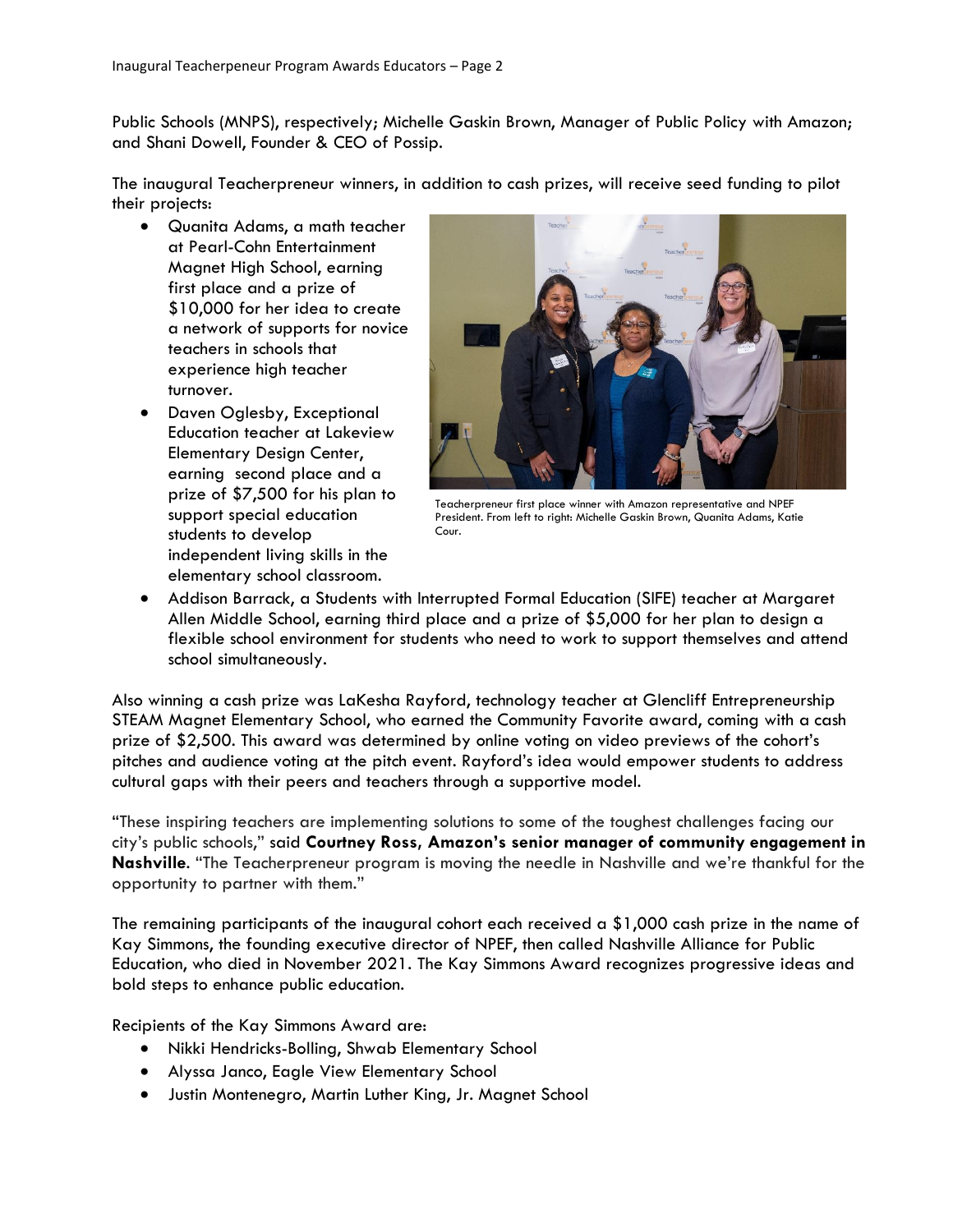Public Schools (MNPS), respectively; Michelle Gaskin Brown, Manager of Public Policy with Amazon; and Shani Dowell, Founder & CEO of Possip.

The inaugural Teacherpreneur winners, in addition to cash prizes, will receive seed funding to pilot their projects:

- Quanita Adams, a math teacher at Pearl-Cohn Entertainment Magnet High School, earning first place and a prize of \$10,000 for her idea to create a network of supports for novice teachers in schools that experience high teacher turnover.
- Daven Oglesby, Exceptional Education teacher at Lakeview Elementary Design Center, earning second place and a prize of \$7,500 for his plan to support special education students to develop independent living skills in the elementary school classroom.



Teacherpreneur first place winner with Amazon representative and NPEF President. From left to right: Michelle Gaskin Brown, Quanita Adams, Katie Cour.

• Addison Barrack, a Students with Interrupted Formal Education (SIFE) teacher at Margaret Allen Middle School, earning third place and a prize of \$5,000 for her plan to design a flexible school environment for students who need to work to support themselves and attend school simultaneously.

Also winning a cash prize was LaKesha Rayford, technology teacher at Glencliff Entrepreneurship STEAM Magnet Elementary School, who earned the Community Favorite award, coming with a cash prize of \$2,500. This award was determined by online voting on video previews of the cohort's pitches and audience voting at the pitch event. Rayford's idea would empower students to address cultural gaps with their peers and teachers through a supportive model.

"These inspiring teachers are implementing solutions to some of the toughest challenges facing our city's public schools," said **Courtney Ross, Amazon's senior manager of community engagement in Nashville**. "The Teacherpreneur program is moving the needle in Nashville and we're thankful for the opportunity to partner with them."

The remaining participants of the inaugural cohort each received a \$1,000 cash prize in the name of Kay Simmons, the founding executive director of NPEF, then called Nashville Alliance for Public Education, who died in November 2021. The Kay Simmons Award recognizes progressive ideas and bold steps to enhance public education.

Recipients of the Kay Simmons Award are:

- Nikki Hendricks-Bolling, Shwab Elementary School
- Alyssa Janco, Eagle View Elementary School
- Justin Montenegro, Martin Luther King, Jr. Magnet School